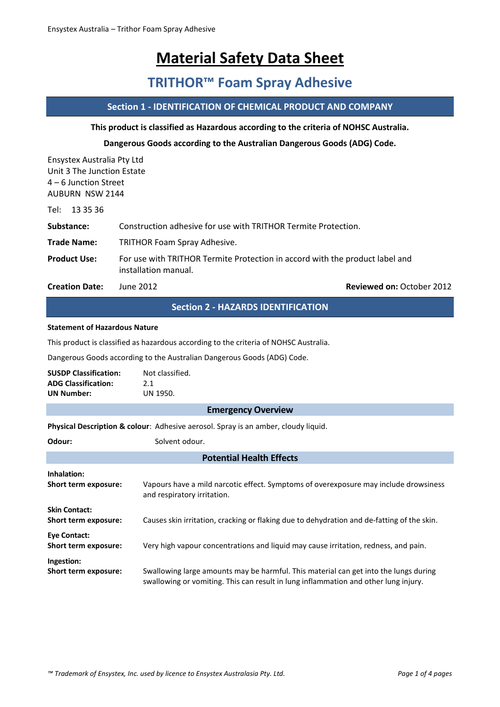# **Material Safety Data Sheet**

# **TRITHOR™ Foam Spray Adhesive**

# **Section 1 - IDENTIFICATION OF CHEMICAL PRODUCT AND COMPANY**

#### **This product is classified as Hazardous according to the criteria of NOHSC Australia.**

### **Dangerous Goods according to the Australian Dangerous Goods (ADG) Code.**

Ensystex Australia Pty Ltd Unit 3 The Junction Estate 4 – 6 Junction Street AUBURN NSW 2144

Tel: 13 35 36

**Substance:** Construction adhesive for use with TRITHOR Termite Protection.

**Trade Name:** TRITHOR Foam Spray Adhesive.

**Product Use:** For use with TRITHOR Termite Protection in accord with the product label and installation manual.

**Creation Date:** June 2012 **Reviewed on:** October 2012

# **Section 2 - HAZARDS IDENTIFICATION**

#### **Statement of Hazardous Nature**

This product is classified as hazardous according to the criteria of NOHSC Australia.

Dangerous Goods according to the Australian Dangerous Goods (ADG) Code.

| <b>SUSDP Classification:</b> | Not classified. |
|------------------------------|-----------------|
| <b>ADG Classification:</b>   | 2.1             |
| <b>UN Number:</b>            | UN 1950.        |

#### **Emergency Overview**

**Physical Description & colour**: Adhesive aerosol. Spray is an amber, cloudy liquid.

| Odour:                                       | Solvent odour.                                                                                                                                                              |  |  |  |
|----------------------------------------------|-----------------------------------------------------------------------------------------------------------------------------------------------------------------------------|--|--|--|
| <b>Potential Health Effects</b>              |                                                                                                                                                                             |  |  |  |
| Inhalation:<br>Short term exposure:          | Vapours have a mild narcotic effect. Symptoms of overexposure may include drowsiness<br>and respiratory irritation.                                                         |  |  |  |
| <b>Skin Contact:</b><br>Short term exposure: | Causes skin irritation, cracking or flaking due to dehydration and de-fatting of the skin.                                                                                  |  |  |  |
| <b>Eye Contact:</b><br>Short term exposure:  | Very high vapour concentrations and liquid may cause irritation, redness, and pain.                                                                                         |  |  |  |
| Ingestion:<br>Short term exposure:           | Swallowing large amounts may be harmful. This material can get into the lungs during<br>swallowing or vomiting. This can result in lung inflammation and other lung injury. |  |  |  |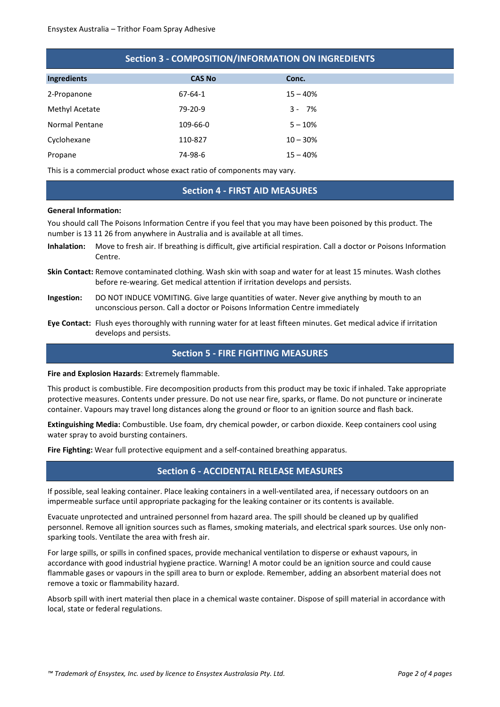| <b>Section 3 - COMPOSITION/INFORMATION ON INGREDIENTS</b> |               |            |  |
|-----------------------------------------------------------|---------------|------------|--|
| Ingredients                                               | <b>CAS No</b> | Conc.      |  |
| 2-Propanone                                               | $67 - 64 - 1$ | $15 - 40%$ |  |
| Methyl Acetate                                            | 79-20-9       | $3 - 7%$   |  |
| Normal Pentane                                            | 109-66-0      | $5 - 10%$  |  |
| Cyclohexane                                               | 110-827       | $10 - 30%$ |  |
| Propane                                                   | 74-98-6       | $15 - 40%$ |  |

This is a commercial product whose exact ratio of components may vary.

#### **Section 4 - FIRST AID MEASURES**

#### **General Information:**

You should call The Poisons Information Centre if you feel that you may have been poisoned by this product. The number is 13 11 26 from anywhere in Australia and is available at all times.

- **Inhalation:** Move to fresh air. If breathing is difficult, give artificial respiration. Call a doctor or Poisons Information Centre.
- **Skin Contact:** Remove contaminated clothing. Wash skin with soap and water for at least 15 minutes. Wash clothes before re-wearing. Get medical attention if irritation develops and persists.
- **Ingestion:** DO NOT INDUCE VOMITING. Give large quantities of water. Never give anything by mouth to an unconscious person. Call a doctor or Poisons Information Centre immediately
- **Eye Contact:** Flush eyes thoroughly with running water for at least fifteen minutes. Get medical advice if irritation develops and persists.

#### **Section 5 - FIRE FIGHTING MEASURES**

#### **Fire and Explosion Hazards**: Extremely flammable.

This product is combustible. Fire decomposition products from this product may be toxic if inhaled. Take appropriate protective measures. Contents under pressure. Do not use near fire, sparks, or flame. Do not puncture or incinerate container. Vapours may travel long distances along the ground or floor to an ignition source and flash back.

**Extinguishing Media:** Combustible. Use foam, dry chemical powder, or carbon dioxide. Keep containers cool using water spray to avoid bursting containers.

**Fire Fighting:** Wear full protective equipment and a self-contained breathing apparatus.

#### **Section 6 - ACCIDENTAL RELEASE MEASURES**

If possible, seal leaking container. Place leaking containers in a well-ventilated area, if necessary outdoors on an impermeable surface until appropriate packaging for the leaking container or its contents is available.

Evacuate unprotected and untrained personnel from hazard area. The spill should be cleaned up by qualified personnel. Remove all ignition sources such as flames, smoking materials, and electrical spark sources. Use only nonsparking tools. Ventilate the area with fresh air.

For large spills, or spills in confined spaces, provide mechanical ventilation to disperse or exhaust vapours, in accordance with good industrial hygiene practice. Warning! A motor could be an ignition source and could cause flammable gases or vapours in the spill area to burn or explode. Remember, adding an absorbent material does not remove a toxic or flammability hazard.

Absorb spill with inert material then place in a chemical waste container. Dispose of spill material in accordance with local, state or federal regulations.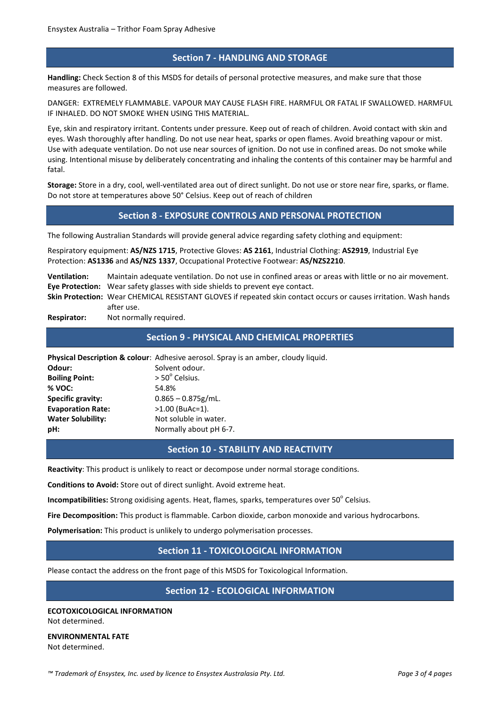## **Section 7 - HANDLING AND STORAGE**

**Handling:** Check Section 8 of this MSDS for details of personal protective measures, and make sure that those measures are followed.

DANGER: EXTREMELY FLAMMABLE. VAPOUR MAY CAUSE FLASH FIRE. HARMFUL OR FATAL IF SWALLOWED. HARMFUL IF INHALED. DO NOT SMOKE WHEN USING THIS MATERIAL.

Eye, skin and respiratory irritant. Contents under pressure. Keep out of reach of children. Avoid contact with skin and eyes. Wash thoroughly after handling. Do not use near heat, sparks or open flames. Avoid breathing vapour or mist. Use with adequate ventilation. Do not use near sources of ignition. Do not use in confined areas. Do not smoke while using. Intentional misuse by deliberately concentrating and inhaling the contents of this container may be harmful and fatal.

**Storage:** Store in a dry, cool, well-ventilated area out of direct sunlight. Do not use or store near fire, sparks, or flame. Do not store at temperatures above 50° Celsius. Keep out of reach of children

# **Section 8 - EXPOSURE CONTROLS AND PERSONAL PROTECTION**

The following Australian Standards will provide general advice regarding safety clothing and equipment:

Respiratory equipment: **AS/NZS 1715**, Protective Gloves: **AS 2161**, Industrial Clothing: **AS2919**, Industrial Eye Protection: **AS1336** and **AS/NZS 1337**, Occupational Protective Footwear: **AS/NZS2210**.

**Ventilation:** Maintain adequate ventilation. Do not use in confined areas or areas with little or no air movement. **Eye Protection:** Wear safety glasses with side shields to prevent eye contact. **Skin Protection:** Wear CHEMICAL RESISTANT GLOVES if repeated skin contact occurs or causes irritation. Wash hands after use.

**Respirator:** Not normally required.

### **Section 9 - PHYSICAL AND CHEMICAL PROPERTIES**

**Physical Description & colour**: Adhesive aerosol. Spray is an amber, cloudy liquid. **Odour:** Solvent odour. **Boiling Point:**  $> 50^{\circ}$  Celsius. **% VOC:** 54.8% **Specific gravity:** 0.865 – 0.875g/mL.

**Evaporation Rate:** >1.00 (BuAc=1). **Water Solubility:** Not soluble in water. **pH:** Normally about pH 6-7.

### **Section 10 - STABILITY AND REACTIVITY**

**Reactivity**: This product is unlikely to react or decompose under normal storage conditions.

**Conditions to Avoid:** Store out of direct sunlight. Avoid extreme heat.

**Incompatibilities:** Strong oxidising agents. Heat, flames, sparks, temperatures over 50<sup>°</sup> Celsius.

**Fire Decomposition:** This product is flammable. Carbon dioxide, carbon monoxide and various hydrocarbons.

**Polymerisation:** This product is unlikely to undergo polymerisation processes.

### **Section 11 - TOXICOLOGICAL INFORMATION**

Please contact the address on the front page of this MSDS for Toxicological Information.

## **Section 12 - ECOLOGICAL INFORMATION**

**ECOTOXICOLOGICAL INFORMATION** Not determined.

**ENVIRONMENTAL FATE** Not determined.

*™ Trademark of Ensystex, Inc. used by licence to Ensystex Australasia Pty. Ltd. Page 3 of 4 pages*